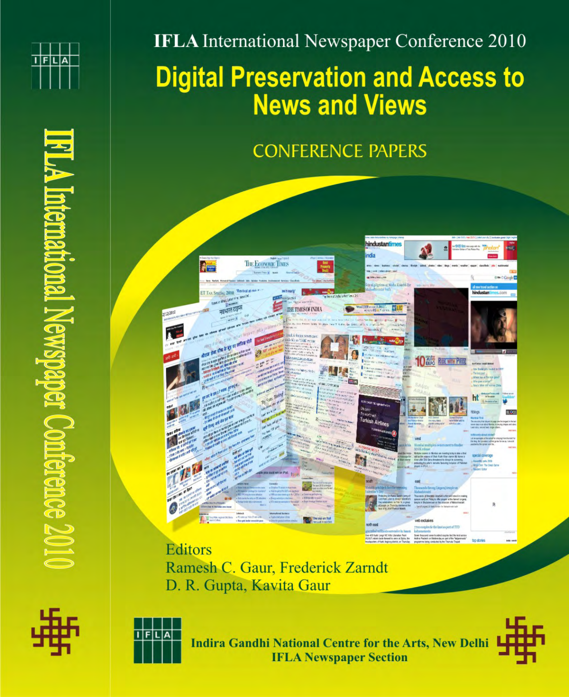

**IFLA** International Newspaper Conference 2010

# **Digital Preservation and Access to News and Views**

# **CONFERENCE PAPERS**



**Editors** Ramesh C. Gaur, Frederick Zarndt D. R. Gupta, Kavita Gaur





**Indira Gandhi National Centre for the Arts, New Delhi IFLA Newspaper Section** 

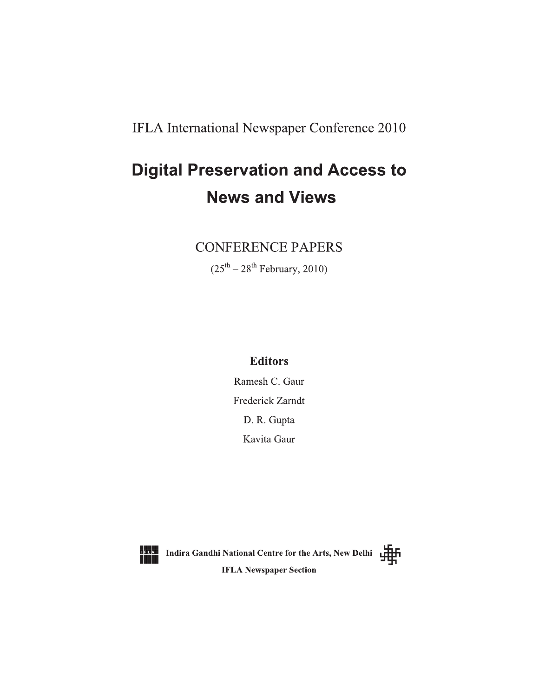IFLA International Newspaper Conference 2010

# **Digital Preservation and Access to News and Views**

# **CONFERENCE PAPERS**

 $(25<sup>th</sup> - 28<sup>th</sup>$  February, 2010)

# **Editors**

Ramesh C. Gaur Frederick Zarndt D. R. Gupta Kavita Gaur



**DELAI** Indira Gandhi National Centre for the Arts, New Delhi Party **IFLA Newspaper Section** 

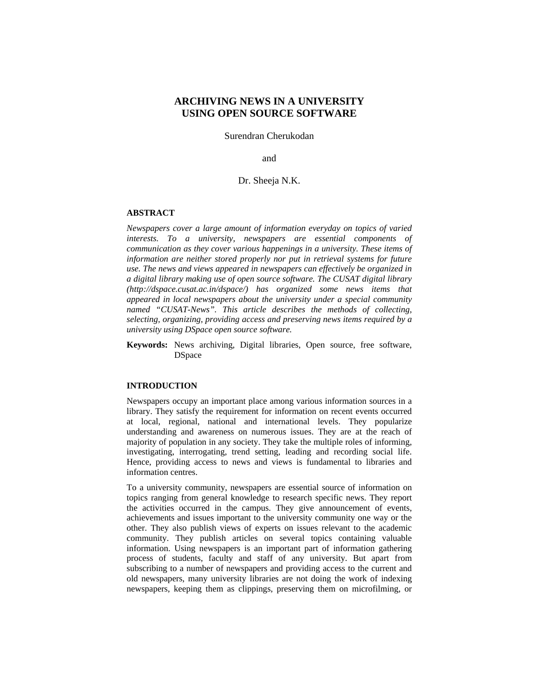# **ARCHIVING NEWS IN A UNIVERSITY USING OPEN SOURCE SOFTWARE**

Surendran Cherukodan

and

# Dr. Sheeja N.K.

# **ABSTRACT**

*Newspapers cover a large amount of information everyday on topics of varied interests. To a university, newspapers are essential components of communication as they cover various happenings in a university. These items of information are neither stored properly nor put in retrieval systems for future use. The news and views appeared in newspapers can effectively be organized in a digital library making use of open source software. The CUSAT digital library (http://dspace.cusat.ac.in/dspace/) has organized some news items that appeared in local newspapers about the university under a special community named "CUSAT-News". This article describes the methods of collecting, selecting, organizing, providing access and preserving news items required by a university using DSpace open source software.* 

**Keywords:** News archiving, Digital libraries, Open source, free software, **DSpace** 

#### **INTRODUCTION**

Newspapers occupy an important place among various information sources in a library. They satisfy the requirement for information on recent events occurred at local, regional, national and international levels. They popularize understanding and awareness on numerous issues. They are at the reach of majority of population in any society. They take the multiple roles of informing, investigating, interrogating, trend setting, leading and recording social life. Hence, providing access to news and views is fundamental to libraries and information centres.

To a university community, newspapers are essential source of information on topics ranging from general knowledge to research specific news. They report the activities occurred in the campus. They give announcement of events, achievements and issues important to the university community one way or the other. They also publish views of experts on issues relevant to the academic community. They publish articles on several topics containing valuable information. Using newspapers is an important part of information gathering process of students, faculty and staff of any university. But apart from subscribing to a number of newspapers and providing access to the current and old newspapers, many university libraries are not doing the work of indexing newspapers, keeping them as clippings, preserving them on microfilming, or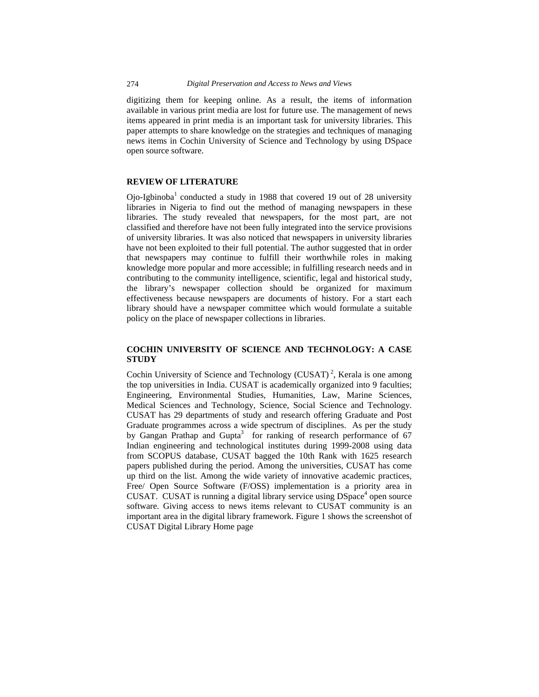digitizing them for keeping online. As a result, the items of information available in various print media are lost for future use. The management of news items appeared in print media is an important task for university libraries. This paper attempts to share knowledge on the strategies and techniques of managing news items in Cochin University of Science and Technology by using DSpace open source software.

### **REVIEW OF LITERATURE**

Ojo-Igbinoba<sup>1</sup> conducted a study in 1988 that covered 19 out of 28 university libraries in Nigeria to find out the method of managing newspapers in these libraries. The study revealed that newspapers, for the most part, are not classified and therefore have not been fully integrated into the service provisions of university libraries. It was also noticed that newspapers in university libraries have not been exploited to their full potential. The author suggested that in order that newspapers may continue to fulfill their worthwhile roles in making knowledge more popular and more accessible; in fulfilling research needs and in contributing to the community intelligence, scientific, legal and historical study, the library's newspaper collection should be organized for maximum effectiveness because newspapers are documents of history. For a start each library should have a newspaper committee which would formulate a suitable policy on the place of newspaper collections in libraries.

# **COCHIN UNIVERSITY OF SCIENCE AND TECHNOLOGY: A CASE STUDY**

Cochin University of Science and Technology (CUSAT)<sup>2</sup>, Kerala is one among the top universities in India. CUSAT is academically organized into 9 faculties; Engineering, Environmental Studies, Humanities, Law, Marine Sciences, Medical Sciences and Technology, Science, Social Science and Technology. CUSAT has 29 departments of study and research offering Graduate and Post Graduate programmes across a wide spectrum of disciplines. As per the study by Gangan Prathap and Gupta<sup>3</sup> for ranking of research performance of 67 Indian engineering and technological institutes during 1999-2008 using data from SCOPUS database, CUSAT bagged the 10th Rank with 1625 research papers published during the period. Among the universities, CUSAT has come up third on the list. Among the wide variety of innovative academic practices, Free/ Open Source Software (F/OSS) implementation is a priority area in CUSAT. CUSAT is running a digital library service using DSpace<sup>4</sup> open source software. Giving access to news items relevant to CUSAT community is an important area in the digital library framework. Figure 1 shows the screenshot of CUSAT Digital Library Home page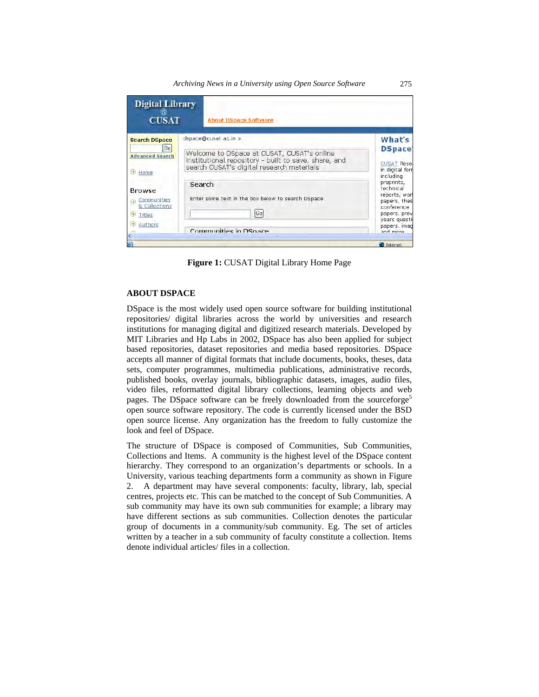

**Figure 1:** CUSAT Digital Library Home Page

#### **ABOUT DSPACE**

DSpace is the most widely used open source software for building institutional repositories/ digital libraries across the world by universities and research institutions for managing digital and digitized research materials. Developed by MIT Libraries and Hp Labs in 2002, DSpace has also been applied for subject based repositories, dataset repositories and media based repositories. DSpace accepts all manner of digital formats that include documents, books, theses, data sets, computer programmes*,* multimedia publications, administrative records, published books, overlay journals, bibliographic datasets, images, audio files, video files, reformatted digital library collections, learning objects and web pages. The DSpace software can be freely downloaded from the sourceforge<sup>5</sup> open source software repository. The code is currently licensed under the BSD open source license. Any organization has the freedom to fully customize the look and feel of DSpace.

The structure of DSpace is composed of Communities, Sub Communities, Collections and Items. A community is the highest level of the DSpace content hierarchy. They correspond to an organization's departments or schools. In a University, various teaching departments form a community as shown in Figure 2. A department may have several components: faculty, library, lab, special centres, projects etc. This can be matched to the concept of Sub Communities. A sub community may have its own sub communities for example; a library may have different sections as sub communities. Collection denotes the particular group of documents in a community/sub community. Eg. The set of articles written by a teacher in a sub community of faculty constitute a collection. Items denote individual articles/ files in a collection.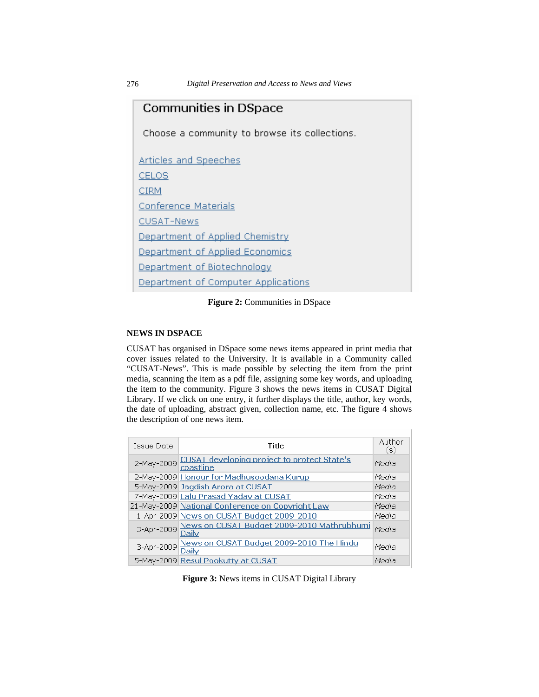| Communities in DSpace                         |  |  |
|-----------------------------------------------|--|--|
| Choose a community to browse its collections. |  |  |
| <b>Articles and Speeches</b>                  |  |  |
| CELOS                                         |  |  |
| CIRM                                          |  |  |
| <b>Conference Materials</b>                   |  |  |
| <b>CUSAT-News</b>                             |  |  |
| Department of Applied Chemistry               |  |  |
| Department of Applied Economics               |  |  |
| Department of Biotechnology                   |  |  |
| Department of Computer Applications           |  |  |

**Figure 2:** Communities in DSpace

# **NEWS IN DSPACE**

CUSAT has organised in DSpace some news items appeared in print media that cover issues related to the University. It is available in a Community called "CUSAT-News". This is made possible by selecting the item from the print media, scanning the item as a pdf file, assigning some key words, and uploading the item to the community. Figure 3 shows the news items in CUSAT Digital Library. If we click on one entry, it further displays the title, author, key words, the date of uploading, abstract given, collection name, etc. The figure 4 shows the description of one news item.

| Issue Date | Title                                                               | Author<br>(s) |
|------------|---------------------------------------------------------------------|---------------|
|            | 2-May-2009 CUSAT developing project to protect State's<br>coastline | Media         |
|            | 2-May-2009 Honour for Madhusoodana Kurup                            | Media         |
|            | 5-May-2009 Jagdish Arora at CUSAT                                   | Media         |
|            | 7-May-2009 Lalu Prasad Yadav at CUSAT                               | Media         |
|            | 21-May-2009 National Conference on Copyright Law                    | Media         |
|            | 1-Apr-2009 News on CUSAT Budget 2009-2010                           | Media         |
|            | 3-Apr-2009 News on CUSAT Budget 2009-2010 Mathrubhumi<br>Daily      | Media         |
|            | 3-Apr-2009 News on CUSAT Budget 2009-2010 The Hindu<br>Daily        | Media         |
|            | 5-May-2009 Resul Pookutty at CUSAT                                  | Media         |

**Figure 3:** News items in CUSAT Digital Library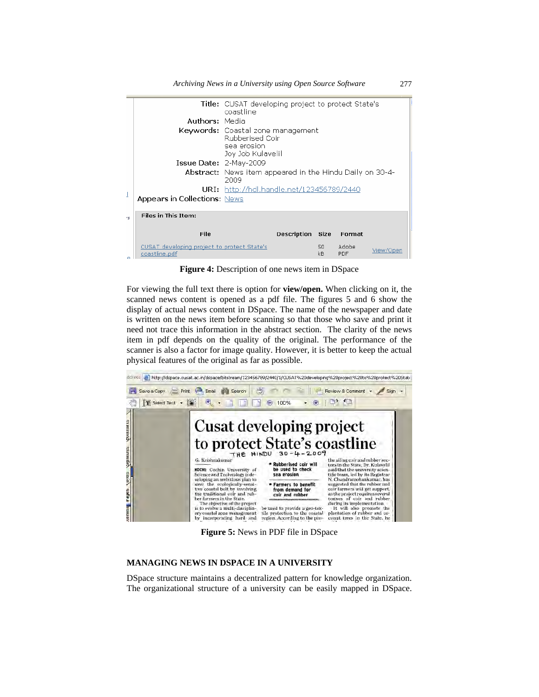|    |                                                              | <b>Title:</b> CUSAT developing project to protect State's<br>coastline                                 |  |  |
|----|--------------------------------------------------------------|--------------------------------------------------------------------------------------------------------|--|--|
|    | <b>Authors: Media</b>                                        |                                                                                                        |  |  |
|    |                                                              | <b>Keywords:</b> Coastal zone management<br><b>Rubberised Coir</b><br>sea erosion<br>Joy Job Kulavelil |  |  |
|    | $I$ ssue Date: $2-May-2009$                                  |                                                                                                        |  |  |
|    |                                                              | <b>Abstract:</b> News item appeared in the Hindu Daily on 30-4-<br>2009                                |  |  |
|    |                                                              | <b>URI:</b> http://hdl.handle.net/123456789/2440                                                       |  |  |
|    | <b>Appears in Collections: News</b>                          |                                                                                                        |  |  |
| ×, | <b>Files in This Item:</b>                                   |                                                                                                        |  |  |
|    | File                                                         | <b>Description Size</b><br>Format                                                                      |  |  |
|    | CUSAT developing project to protect State's<br>coastline.pdf | Adobe<br>50<br>View/Open<br>kB<br>PDF                                                                  |  |  |

**Figure 4:** Description of one news item in DSpace

For viewing the full text there is option for **view/open.** When clicking on it, the scanned news content is opened as a pdf file. The figures 5 and 6 show the display of actual news content in DSpace. The name of the newspaper and date is written on the news item before scanning so that those who save and print it need not trace this information in the abstract section. The clarity of the news item in pdf depends on the quality of the original. The performance of the scanner is also a factor for image quality. However, it is better to keep the actual physical features of the original as far as possible.



**Figure 5:** News in PDF file in DSpace

# **MANAGING NEWS IN DSPACE IN A UNIVERSITY**

DSpace structure maintains a decentralized pattern for knowledge organization. The organizational structure of a university can be easily mapped in DSpace.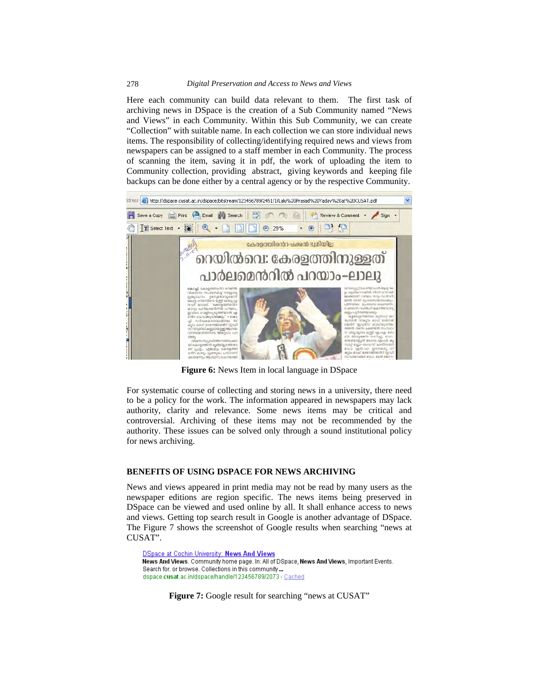#### 278 *Digital Preservation and Access to News and Views*

Here each community can build data relevant to them. The first task of archiving news in DSpace is the creation of a Sub Community named "News and Views" in each Community. Within this Sub Community, we can create "Collection" with suitable name. In each collection we can store individual news items. The responsibility of collecting/identifying required news and views from newspapers can be assigned to a staff member in each Community. The process of scanning the item, saving it in pdf, the work of uploading the item to Community collection, providing abstract, giving keywords and keeping file backups can be done either by a central agency or by the respective Community.



**Figure 6:** News Item in local language in DSpace

For systematic course of collecting and storing news in a university, there need to be a policy for the work. The information appeared in newspapers may lack authority, clarity and relevance. Some news items may be critical and controversial. Archiving of these items may not be recommended by the authority. These issues can be solved only through a sound institutional policy for news archiving.

#### **BENEFITS OF USING DSPACE FOR NEWS ARCHIVING**

News and views appeared in print media may not be read by many users as the newspaper editions are region specific. The news items being preserved in DSpace can be viewed and used online by all. It shall enhance access to news and views. Getting top search result in Google is another advantage of DSpace. The Figure 7 shows the screenshot of Google results when searching "news at CUSAT".

**DSpace at Cochin University: News And Views** News And Views. Community home page. In: All of DSpace, News And Views, Important Events. Search for, or browse, Collections in this community... dspace.cusat.ac.in/dspace/handle/123456789/2073 - Cached

Figure 7: Google result for searching "news at CUSAT"